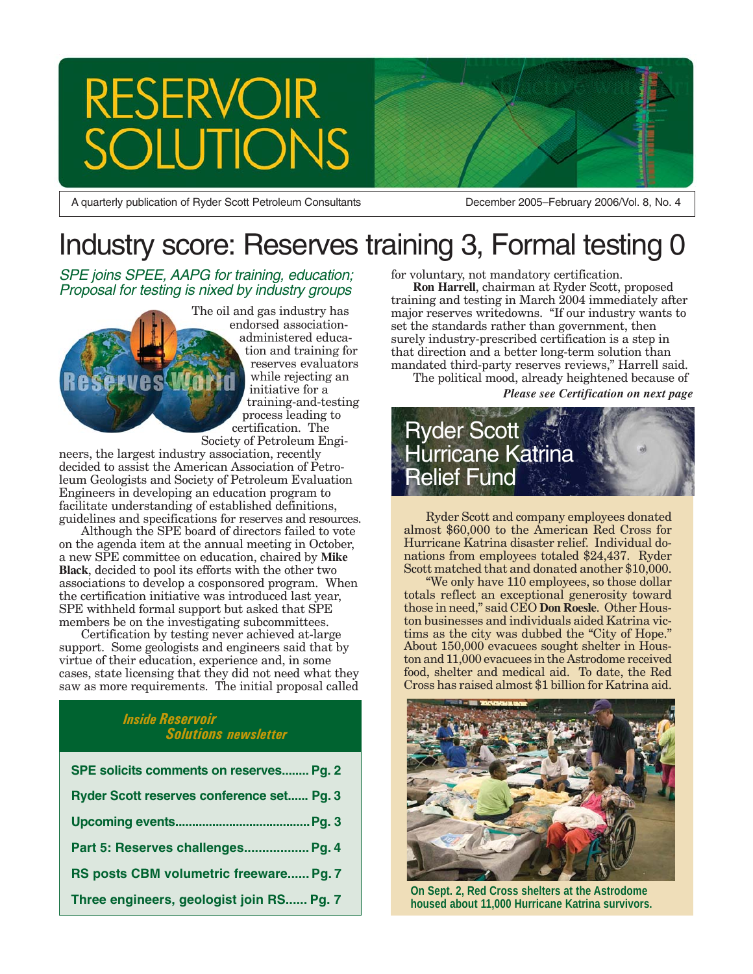# RESERVOIR<br>SOLUTIONS

A quarterly publication of Ryder Scott Petroleum Consultants

December 2005–February 2006/Vol. 8, No. 4

# Industry score: Reserves training 3, Formal testing 0

SPE joins SPEE, AAPG for training, education; Proposal for testing is nixed by industry groups

erve

The oil and gas industry has endorsed associationadministered education and training for reserves evaluators while rejecting an initiative for a training-and-testing process leading to certification. The Society of Petroleum Engi-

neers, the largest industry association, recently decided to assist the American Association of Petroleum Geologists and Society of Petroleum Evaluation Engineers in developing an education program to facilitate understanding of established definitions, guidelines and specifications for reserves and resources.

Although the SPE board of directors failed to vote on the agenda item at the annual meeting in October, a new SPE committee on education, chaired by **Mike Black**, decided to pool its efforts with the other two associations to develop a cosponsored program. When the certification initiative was introduced last year, SPE withheld formal support but asked that SPE members be on the investigating subcommittees.

Certification by testing never achieved at-large support. Some geologists and engineers said that by virtue of their education, experience and, in some cases, state licensing that they did not need what they saw as more requirements. The initial proposal called

#### *Inside Reservoir Solutions newsletter*

| SPE solicits comments on reserves Pg. 2   |
|-------------------------------------------|
| Ryder Scott reserves conference set Pg. 3 |
|                                           |
| Part 5: Reserves challenges Pg. 4         |
| RS posts CBM volumetric freeware Pg. 7    |
| Three engineers, geologist join RS Pg. 7  |

for voluntary, not mandatory certification.

**Ron Harrell**, chairman at Ryder Scott, proposed training and testing in March 2004 immediately after major reserves writedowns. "If our industry wants to set the standards rather than government, then surely industry-prescribed certification is a step in that direction and a better long-term solution than mandated third-party reserves reviews," Harrell said.

The political mood, already heightened because of

*Please see Certification on next page*



Ryder Scott and company employees donated almost \$60,000 to the American Red Cross for Hurricane Katrina disaster relief. Individual donations from employees totaled \$24,437. Ryder Scott matched that and donated another \$10,000.

"We only have 110 employees, so those dollar totals reflect an exceptional generosity toward those in need," said CEO **Don Roesle**. Other Houston businesses and individuals aided Katrina victims as the city was dubbed the "City of Hope." About 150,000 evacuees sought shelter in Houston and 11,000 evacuees in the Astrodome received food, shelter and medical aid. To date, the Red Cross has raised almost \$1 billion for Katrina aid.



**On Sept. 2, Red Cross shelters at the Astrodome housed about 11,000 Hurricane Katrina survivors.**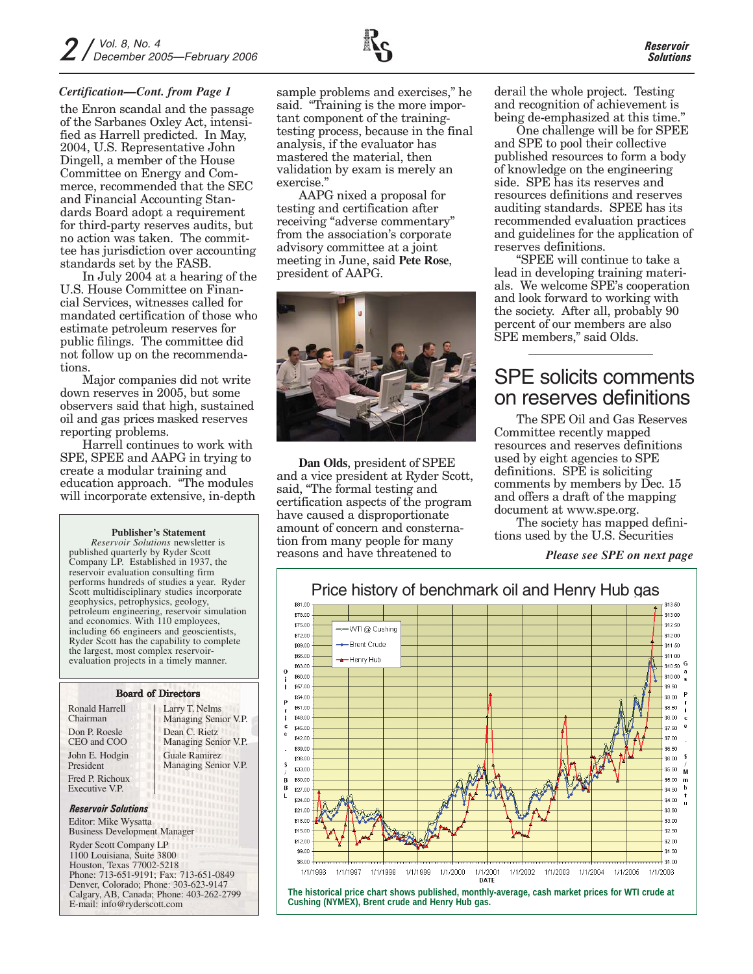#### *Certification—Cont. from Page 1*

the Enron scandal and the passage of the Sarbanes Oxley Act, intensified as Harrell predicted. In May, 2004, U.S. Representative John Dingell, a member of the House Committee on Energy and Commerce, recommended that the SEC and Financial Accounting Standards Board adopt a requirement for third-party reserves audits, but no action was taken. The committee has jurisdiction over accounting standards set by the FASB.

In July 2004 at a hearing of the U.S. House Committee on Financial Services, witnesses called for mandated certification of those who estimate petroleum reserves for public filings. The committee did not follow up on the recommendations

Major companies did not write down reserves in 2005, but some observers said that high, sustained oil and gas prices masked reserves reporting problems.

Harrell continues to work with SPE, SPEE and AAPG in trying to create a modular training and education approach. "The modules will incorporate extensive, in-depth

#### **Publisher's Statement**

*Reservoir Solutions* newsletter is published quarterly by Ryder Scott Company LP. Established in 1937, the reservoir evaluation consulting firm performs hundreds of studies a year. Ryder Scott multidisciplinary studies incorporate geophysics, petrophysics, geology, petroleum engineering, reservoir simulation and economics. With 110 employees, including 66 engineers and geoscientists, Ryder Scott has the capability to complete the largest, most complex reservoirevaluation projects in a timely manner.

#### Larry T. Nelms Managing Senior V.P. Board of Directors Don P. Roesle Dean C. Rietz Ronald Harrell Chairman

CEO and COO John E. Hodgin President Fred P. Richoux Executive V.P.

Managing Senior V.P. Guale Ramirez Managing Senior V.P.

#### *Reservoir Solutions*

Editor: Mike Wysatta Business Development Manager

Ryder Scott Company LP

1100 Louisiana, Suite 3800 Houston, Texas 77002-5218 Phone: 713-651-9191; Fax: 713-651-0849 Denver, Colorado; Phone: 303-623-9147 Calgary, AB, Canada; Phone: 403-262-2799 E-mail: info@ryderscott.com

sample problems and exercises," he said. "Training is the more important component of the trainingtesting process, because in the final analysis, if the evaluator has mastered the material, then validation by exam is merely an exercise."

AAPG nixed a proposal for testing and certification after receiving "adverse commentary" from the association's corporate advisory committee at a joint meeting in June, said **Pete Rose**, president of AAPG.



**Dan Olds**, president of SPEE and a vice president at Ryder Scott, said, "The formal testing and certification aspects of the program have caused a disproportionate amount of concern and consternation from many people for many reasons and have threatened to

derail the whole project. Testing and recognition of achievement is being de-emphasized at this time."

One challenge will be for SPEE and SPE to pool their collective published resources to form a body of knowledge on the engineering side. SPE has its reserves and resources definitions and reserves auditing standards. SPEE has its recommended evaluation practices and guidelines for the application of reserves definitions.

"SPEE will continue to take a lead in developing training materials. We welcome SPE's cooperation and look forward to working with the society. After all, probably 90 percent of our members are also SPE members," said Olds.

## SPE solicits comments on reserves definitions

The SPE Oil and Gas Reserves Committee recently mapped resources and reserves definitions used by eight agencies to SPE definitions. SPE is soliciting comments by members by Dec. 15 and offers a draft of the mapping document at www.spe.org.

The society has mapped definitions used by the U.S. Securities

*Please see SPE on next page*

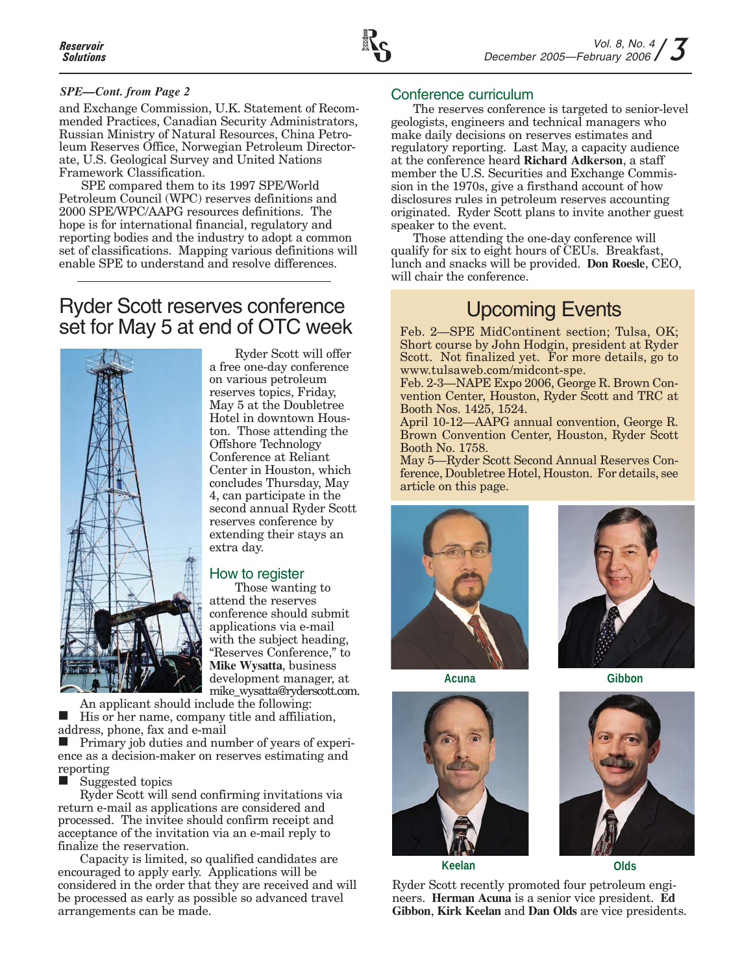

#### *SPE—Cont. from Page 2*

and Exchange Commission, U.K. Statement of Recommended Practices, Canadian Security Administrators, Russian Ministry of Natural Resources, China Petroleum Reserves Office, Norwegian Petroleum Directorate, U.S. Geological Survey and United Nations Framework Classification.

SPE compared them to its 1997 SPE/World Petroleum Council (WPC) reserves definitions and 2000 SPE/WPC/AAPG resources definitions. The hope is for international financial, regulatory and reporting bodies and the industry to adopt a common set of classifications. Mapping various definitions will enable SPE to understand and resolve differences.

### Ryder Scott reserves conference set for May 5 at end of OTC week



Ryder Scott will offer a free one-day conference on various petroleum reserves topics, Friday, May 5 at the Doubletree Hotel in downtown Houston. Those attending the Offshore Technology Conference at Reliant Center in Houston, which concludes Thursday, May 4, can participate in the second annual Ryder Scott reserves conference by extending their stays an extra day.

#### How to register

Those wanting to attend the reserves conference should submit applications via e-mail with the subject heading, "Reserves Conference," to **Mike Wysatta**, business development manager, at mike\_wysatta@ryderscott.com.

An applicant should include the following: His or her name, company title and affiliation, address, phone, fax and e-mail

**Primary job duties and number of years of experi**ence as a decision-maker on reserves estimating and reporting

Suggested topics

Ryder Scott will send confirming invitations via return e-mail as applications are considered and processed. The invitee should confirm receipt and acceptance of the invitation via an e-mail reply to finalize the reservation.

Capacity is limited, so qualified candidates are encouraged to apply early. Applications will be considered in the order that they are received and will be processed as early as possible so advanced travel arrangements can be made.

#### Conference curriculum

The reserves conference is targeted to senior-level geologists, engineers and technical managers who make daily decisions on reserves estimates and regulatory reporting. Last May, a capacity audience at the conference heard **Richard Adkerson**, a staff member the U.S. Securities and Exchange Commission in the 1970s, give a firsthand account of how disclosures rules in petroleum reserves accounting originated. Ryder Scott plans to invite another guest speaker to the event.

Those attending the one-day conference will qualify for six to eight hours of CEUs. Breakfast, lunch and snacks will be provided. **Don Roesle**, CEO, will chair the conference.

## Upcoming Events

Feb. 2—SPE MidContinent section; Tulsa, OK; Short course by John Hodgin, president at Ryder Scott. Not finalized yet. For more details, go to www.tulsaweb.com/midcont-spe.

Feb. 2-3—NAPE Expo 2006, George R. Brown Convention Center, Houston, Ryder Scott and TRC at Booth Nos. 1425, 1524.

April 10-12—AAPG annual convention, George R. Brown Convention Center, Houston, Ryder Scott Booth No. 1758.

May 5—Ryder Scott Second Annual Reserves Conference, Doubletree Hotel, Houston. For details, see article on this page.





**Acuna Gibbon**





**Keelan Olds**

Ryder Scott recently promoted four petroleum engineers. **Herman Acuna** is a senior vice president. **Ed Gibbon**, **Kirk Keelan** and **Dan Olds** are vice presidents.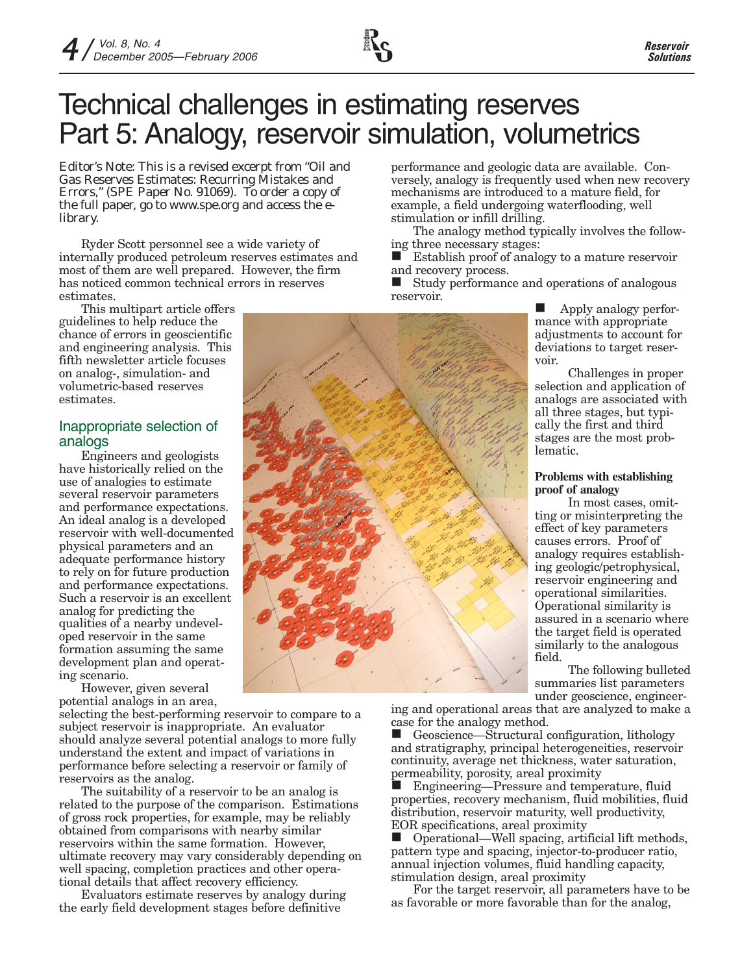# Technical challenges in estimating reserves Part 5: Analogy, reservoir simulation, volumetrics

*Editor's Note: This is a revised excerpt from "Oil and Gas Reserves Estimates: Recurring Mistakes and Errors," (SPE Paper No. 91069). To order a copy of the full paper, go to www.spe.org and access the elibrary.*

Ryder Scott personnel see a wide variety of internally produced petroleum reserves estimates and most of them are well prepared. However, the firm has noticed common technical errors in reserves estimates.

This multipart article offers guidelines to help reduce the chance of errors in geoscientific and engineering analysis. This fifth newsletter article focuses on analog-, simulation- and volumetric-based reserves estimates.

#### Inappropriate selection of analogs

Engineers and geologists have historically relied on the use of analogies to estimate several reservoir parameters and performance expectations. An ideal analog is a developed reservoir with well-documented physical parameters and an adequate performance history to rely on for future production and performance expectations. Such a reservoir is an excellent analog for predicting the qualities of a nearby undeveloped reservoir in the same formation assuming the same development plan and operating scenario.

However, given several potential analogs in an area,

selecting the best-performing reservoir to compare to a subject reservoir is inappropriate. An evaluator should analyze several potential analogs to more fully understand the extent and impact of variations in performance before selecting a reservoir or family of reservoirs as the analog.

The suitability of a reservoir to be an analog is related to the purpose of the comparison. Estimations of gross rock properties, for example, may be reliably obtained from comparisons with nearby similar reservoirs within the same formation. However, ultimate recovery may vary considerably depending on well spacing, completion practices and other operational details that affect recovery efficiency.

Evaluators estimate reserves by analogy during the early field development stages before definitive

performance and geologic data are available. Conversely, analogy is frequently used when new recovery mechanisms are introduced to a mature field, for example, a field undergoing waterflooding, well stimulation or infill drilling.

The analogy method typically involves the following three necessary stages:

 Establish proof of analogy to a mature reservoir and recovery process.

 Study performance and operations of analogous reservoir.

> Apply analogy performance with appropriate adjustments to account for deviations to target reservoir.

Challenges in proper selection and application of analogs are associated with all three stages, but typically the first and third stages are the most problematic.

#### **Problems with establishing proof of analogy**

In most cases, omitting or misinterpreting the effect of key parameters causes errors. Proof of analogy requires establishing geologic/petrophysical, reservoir engineering and operational similarities. Operational similarity is assured in a scenario where the target field is operated similarly to the analogous field.

The following bulleted summaries list parameters under geoscience, engineer-

ing and operational areas that are analyzed to make a case for the analogy method.

 Geoscience—Structural configuration, lithology and stratigraphy, principal heterogeneities, reservoir continuity, average net thickness, water saturation, permeability, porosity, areal proximity

 Engineering—Pressure and temperature, fluid properties, recovery mechanism, fluid mobilities, fluid distribution, reservoir maturity, well productivity, EOR specifications, areal proximity<br> **O** Operational—Well spacing, arti

 Operational—Well spacing, artificial lift methods, pattern type and spacing, injector-to-producer ratio, annual injection volumes, fluid handling capacity, stimulation design, areal proximity

For the target reservoir, all parameters have to be as favorable or more favorable than for the analog,

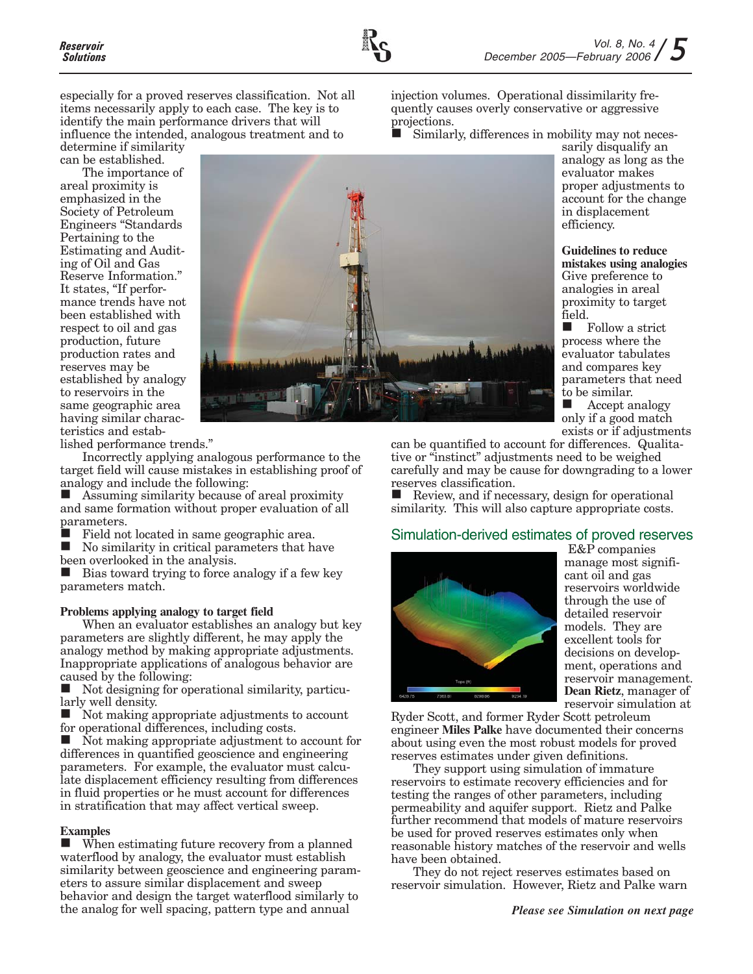especially for a proved reserves classification. Not all items necessarily apply to each case. The key is to identify the main performance drivers that will influence the intended, analogous treatment and to

determine if similarity can be established.

The importance of areal proximity is emphasized in the Society of Petroleum Engineers "Standards Pertaining to the Estimating and Auditing of Oil and Gas Reserve Information." It states, "If performance trends have not been established with respect to oil and gas production, future production rates and reserves may be established by analogy to reservoirs in the same geographic area having similar characteristics and estab-



lished performance trends."

Incorrectly applying analogous performance to the target field will cause mistakes in establishing proof of analogy and include the following:

■ Assuming similarity because of areal proximity and same formation without proper evaluation of all parameters.

 Field not located in same geographic area. No similarity in critical parameters that have

been overlooked in the analysis.

 Bias toward trying to force analogy if a few key parameters match.

#### **Problems applying analogy to target field**

When an evaluator establishes an analogy but key parameters are slightly different, he may apply the analogy method by making appropriate adjustments. Inappropriate applications of analogous behavior are caused by the following:

Not designing for operational similarity, particularly well density.

 $\blacksquare$  Not making appropriate adjustments to account for operational differences, including costs.

 Not making appropriate adjustment to account for differences in quantified geoscience and engineering parameters. For example, the evaluator must calculate displacement efficiency resulting from differences in fluid properties or he must account for differences in stratification that may affect vertical sweep.

#### **Examples**

 When estimating future recovery from a planned waterflood by analogy, the evaluator must establish similarity between geoscience and engineering parameters to assure similar displacement and sweep behavior and design the target waterflood similarly to the analog for well spacing, pattern type and annual

injection volumes. Operational dissimilarity frequently causes overly conservative or aggressive projections.

Similarly, differences in mobility may not neces-

sarily disqualify an analogy as long as the evaluator makes proper adjustments to account for the change in displacement efficiency.

**Guidelines to reduce mistakes using analogies** Give preference to analogies in areal proximity to target field.

**Follow** a strict process where the evaluator tabulates and compares key parameters that need to be similar.

**Accept analogy** only if a good match exists or if adjustments

can be quantified to account for differences. Qualitative or "instinct" adjustments need to be weighed carefully and may be cause for downgrading to a lower reserves classification.

 $\blacksquare$  Review, and if necessary, design for operational similarity. This will also capture appropriate costs.

#### Simulation-derived estimates of proved reserves



E&P companies manage most significant oil and gas reservoirs worldwide through the use of detailed reservoir models. They are excellent tools for decisions on development, operations and reservoir management. **Dean Rietz**, manager of reservoir simulation at

Ryder Scott, and former Ryder Scott petroleum engineer **Miles Palke** have documented their concerns about using even the most robust models for proved reserves estimates under given definitions.

They support using simulation of immature reservoirs to estimate recovery efficiencies and for testing the ranges of other parameters, including permeability and aquifer support. Rietz and Palke further recommend that models of mature reservoirs be used for proved reserves estimates only when reasonable history matches of the reservoir and wells have been obtained.

They do not reject reserves estimates based on reservoir simulation. However, Rietz and Palke warn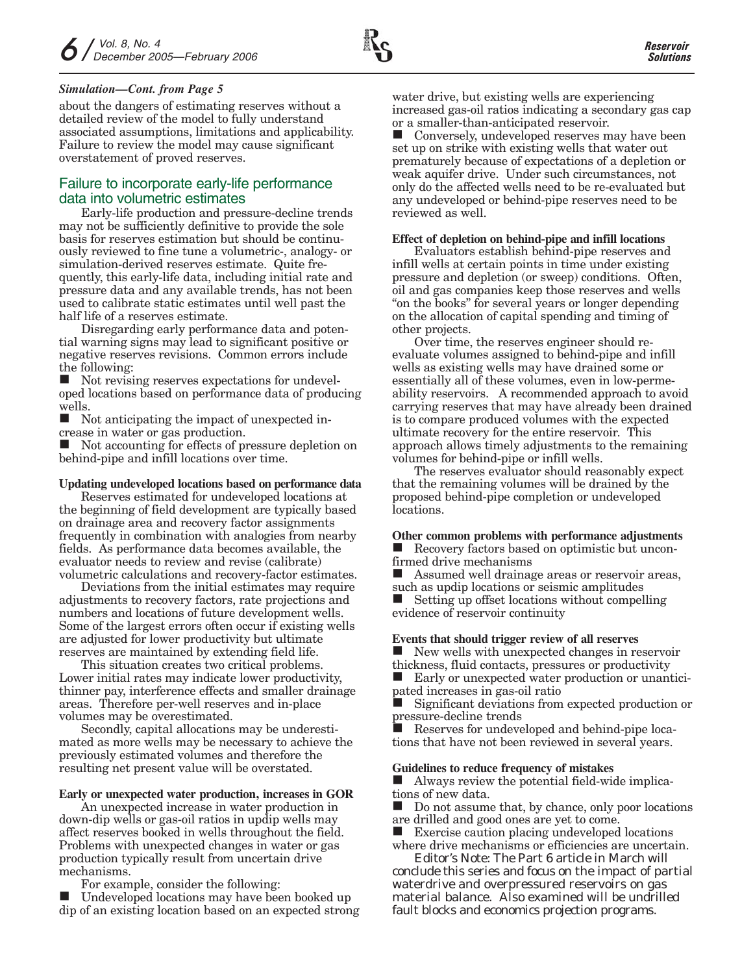#### *Simulation—Cont. from Page 5*

about the dangers of estimating reserves without a detailed review of the model to fully understand associated assumptions, limitations and applicability. Failure to review the model may cause significant overstatement of proved reserves.

#### Failure to incorporate early-life performance data into volumetric estimates

Early-life production and pressure-decline trends may not be sufficiently definitive to provide the sole basis for reserves estimation but should be continuously reviewed to fine tune a volumetric-, analogy- or simulation-derived reserves estimate. Quite frequently, this early-life data, including initial rate and pressure data and any available trends, has not been used to calibrate static estimates until well past the half life of a reserves estimate.

Disregarding early performance data and potential warning signs may lead to significant positive or negative reserves revisions. Common errors include the following:

 Not revising reserves expectations for undeveloped locations based on performance data of producing wells.

 Not anticipating the impact of unexpected increase in water or gas production.

 Not accounting for effects of pressure depletion on behind-pipe and infill locations over time.

#### **Updating undeveloped locations based on performance data**

Reserves estimated for undeveloped locations at the beginning of field development are typically based on drainage area and recovery factor assignments frequently in combination with analogies from nearby fields. As performance data becomes available, the evaluator needs to review and revise (calibrate) volumetric calculations and recovery-factor estimates.

Deviations from the initial estimates may require adjustments to recovery factors, rate projections and numbers and locations of future development wells. Some of the largest errors often occur if existing wells are adjusted for lower productivity but ultimate reserves are maintained by extending field life.

This situation creates two critical problems. Lower initial rates may indicate lower productivity, thinner pay, interference effects and smaller drainage areas. Therefore per-well reserves and in-place volumes may be overestimated.

Secondly, capital allocations may be underestimated as more wells may be necessary to achieve the previously estimated volumes and therefore the resulting net present value will be overstated.

#### **Early or unexpected water production, increases in GOR**

An unexpected increase in water production in down-dip wells or gas-oil ratios in updip wells may affect reserves booked in wells throughout the field. Problems with unexpected changes in water or gas production typically result from uncertain drive mechanisms.

For example, consider the following:

 Undeveloped locations may have been booked up dip of an existing location based on an expected strong water drive, but existing wells are experiencing increased gas-oil ratios indicating a secondary gas cap or a smaller-than-anticipated reservoir.

 Conversely, undeveloped reserves may have been set up on strike with existing wells that water out prematurely because of expectations of a depletion or weak aquifer drive. Under such circumstances, not only do the affected wells need to be re-evaluated but any undeveloped or behind-pipe reserves need to be reviewed as well.

#### **Effect of depletion on behind-pipe and infill locations**

Evaluators establish behind-pipe reserves and infill wells at certain points in time under existing pressure and depletion (or sweep) conditions. Often, oil and gas companies keep those reserves and wells "on the books" for several years or longer depending on the allocation of capital spending and timing of other projects.

Over time, the reserves engineer should reevaluate volumes assigned to behind-pipe and infill wells as existing wells may have drained some or essentially all of these volumes, even in low-permeability reservoirs. A recommended approach to avoid carrying reserves that may have already been drained is to compare produced volumes with the expected ultimate recovery for the entire reservoir. This approach allows timely adjustments to the remaining volumes for behind-pipe or infill wells.

The reserves evaluator should reasonably expect that the remaining volumes will be drained by the proposed behind-pipe completion or undeveloped locations.

#### **Other common problems with performance adjustments** Recovery factors based on optimistic but unconfirmed drive mechanisms

Assumed well drainage areas or reservoir areas, such as updip locations or seismic amplitudes

 $\blacksquare$  Setting up offset locations without compelling evidence of reservoir continuity

#### **Events that should trigger review of all reserves**

New wells with unexpected changes in reservoir thickness, fluid contacts, pressures or productivity

■ Early or unexpected water production or unanticipated increases in gas-oil ratio

 Significant deviations from expected production or pressure-decline trends

 Reserves for undeveloped and behind-pipe locations that have not been reviewed in several years.

#### **Guidelines to reduce frequency of mistakes**

 Always review the potential field-wide implications of new data.

 $\Box$  Do not assume that, by chance, only poor locations are drilled and good ones are yet to come.

**EXECUTE:** Exercise caution placing undeveloped locations where drive mechanisms or efficiencies are uncertain.

*Editor's Note: The Part 6 article in March will conclude this series and focus on the impact of partial waterdrive and overpressured reservoirs on gas material balance. Also examined will be undrilled fault blocks and economics projection programs.*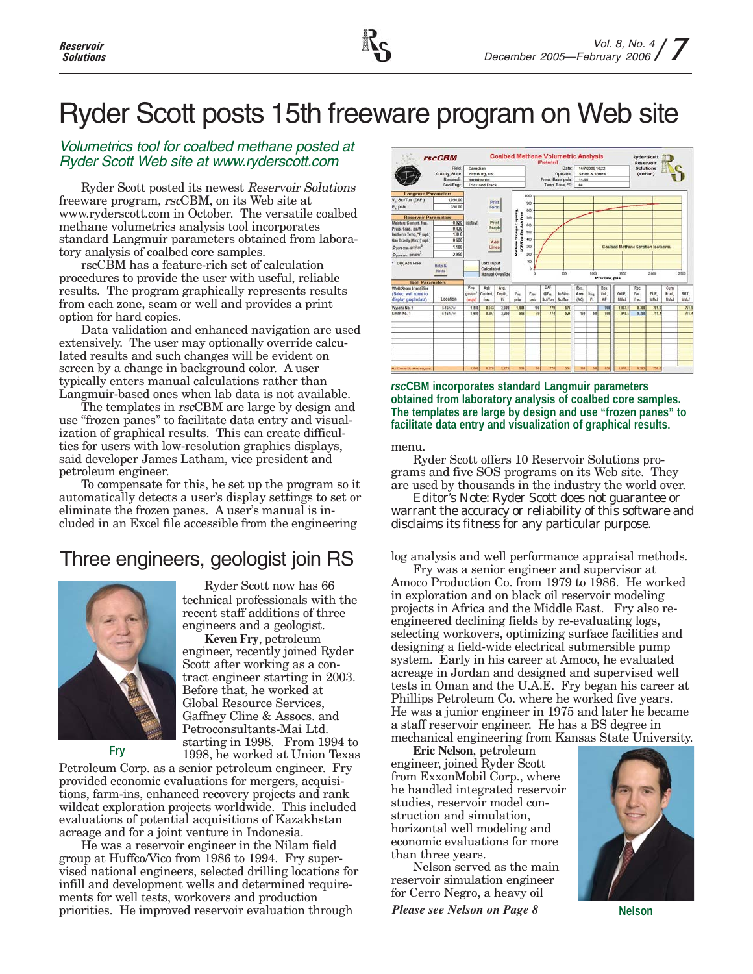# Ryder Scott posts 15th freeware program on Web site

#### Volumetrics tool for coalbed methane posted at Ryder Scott Web site at www.ryderscott.com

Ryder Scott posted its newest Reservoir Solutions freeware program, rscCBM, on its Web site at www.ryderscott.com in October. The versatile coalbed methane volumetrics analysis tool incorporates standard Langmuir parameters obtained from laboratory analysis of coalbed core samples.

rscCBM has a feature-rich set of calculation procedures to provide the user with useful, reliable results. The program graphically represents results from each zone, seam or well and provides a print option for hard copies.

Data validation and enhanced navigation are used extensively. The user may optionally override calculated results and such changes will be evident on screen by a change in background color. A user typically enters manual calculations rather than Langmuir-based ones when lab data is not available.

The templates in rscCBM are large by design and use "frozen panes" to facilitate data entry and visualization of graphical results. This can create difficulties for users with low-resolution graphics displays, said developer James Latham, vice president and petroleum engineer.

To compensate for this, he set up the program so it automatically detects a user's display settings to set or eliminate the frozen panes. A user's manual is included in an Excel file accessible from the engineering

## Three engineers, geologist join RS

Ryder Scott now has 66 technical professionals with the

engineers and a geologist. **Keven Fry**, petroleum engineer, recently joined Ryder Scott after working as a contract engineer starting in 2003. Before that, he worked at Global Resource Services, Gaffney Cline & Assocs. and Petroconsultants-Mai Ltd. starting in 1998. From 1994 to



1998, he worked at Union Texas Petroleum Corp. as a senior petroleum engineer. Fry provided economic evaluations for mergers, acquisitions, farm-ins, enhanced recovery projects and rank wildcat exploration projects worldwide. This included evaluations of potential acquisitions of Kazakhstan acreage and for a joint venture in Indonesia.

He was a reservoir engineer in the Nilam field group at Huffco/Vico from 1986 to 1994. Fry supervised national engineers, selected drilling locations for infill and development wells and determined requirements for well tests, workovers and production priorities. He improved reservoir evaluation through



*rsc***CBM incorporates standard Langmuir parameters obtained from laboratory analysis of coalbed core samples. The templates are large by design and use "frozen panes" to facilitate data entry and visualization of graphical results.**

menu.

Ryder Scott offers 10 Reservoir Solutions programs and five SOS programs on its Web site. They are used by thousands in the industry the world over.

*Editor's Note: Ryder Scott does not guarantee or warrant the accuracy or reliability of this software and disclaims its fitness for any particular purpose.*

log analysis and well performance appraisal methods.

Fry was a senior engineer and supervisor at Amoco Production Co. from 1979 to 1986. He worked in exploration and on black oil reservoir modeling projects in Africa and the Middle East. Fry also reengineered declining fields by re-evaluating logs, selecting workovers, optimizing surface facilities and designing a field-wide electrical submersible pump system. Early in his career at Amoco, he evaluated acreage in Jordan and designed and supervised well tests in Oman and the U.A.E. Fry began his career at Phillips Petroleum Co. where he worked five years. He was a junior engineer in 1975 and later he became a staff reservoir engineer. He has a BS degree in mechanical engineering from Kansas State University.

**Fry Eric Nelson**, petroleum **Friday Eric Nelson**, petroleum engineer, joined Ryder Scott from ExxonMobil Corp., where he handled integrated reservoir studies, reservoir model construction and simulation, horizontal well modeling and economic evaluations for more than three years.

Nelson served as the main reservoir simulation engineer for Cerro Negro, a heavy oil *Please see Nelson on Page 8* **Nelson**